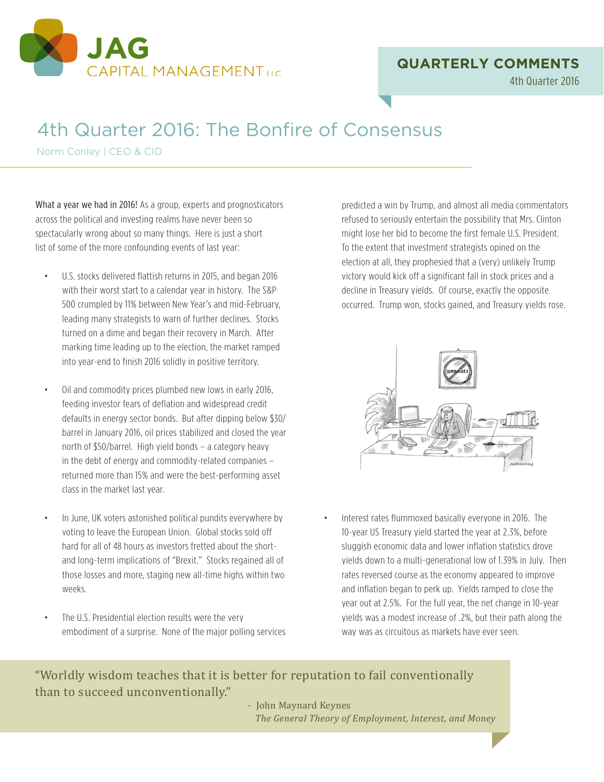

### **QUARTERLY COMMENTS**

4th Quarter 2016

# 4th Quarter 2016: The Bonfire of Consensus

Norm Conley | CEO & CIO

What a year we had in 2016! As a group, experts and prognosticators across the political and investing realms have never been so spectacularly wrong about so many things. Here is just a short list of some of the more confounding events of last year:

- U.S. stocks delivered flattish returns in 2015, and began 2016 with their worst start to a calendar year in history. The S&P 500 crumpled by 11% between New Year's and mid-February, leading many strategists to warn of further declines. Stocks turned on a dime and began their recovery in March. After marking time leading up to the election, the market ramped into year-end to finish 2016 solidly in positive territory.
- Oil and commodity prices plumbed new lows in early 2016, feeding investor fears of deflation and widespread credit defaults in energy sector bonds. But after dipping below \$30/ barrel in January 2016, oil prices stabilized and closed the year north of \$50/barrel. High yield bonds – a category heavy in the debt of energy and commodity-related companies – returned more than 15% and were the best-performing asset class in the market last year.
- In June, UK voters astonished political pundits everywhere by voting to leave the European Union. Global stocks sold off hard for all of 48 hours as investors fretted about the shortand long-term implications of "Brexit." Stocks regained all of those losses and more, staging new all-time highs within two weeks.
- The U.S. Presidential election results were the very embodiment of a surprise. None of the major polling services

predicted a win by Trump, and almost all media commentators refused to seriously entertain the possibility that Mrs. Clinton might lose her bid to become the first female U.S. President. To the extent that investment strategists opined on the election at all, they prophesied that a (very) unlikely Trump victory would kick off a significant fall in stock prices and a decline in Treasury yields. Of course, exactly the opposite occurred. Trump won, stocks gained, and Treasury yields rose.



• Interest rates flummoxed basically everyone in 2016. The 10-year US Treasury yield started the year at 2.3%, before sluggish economic data and lower inflation statistics drove yields down to a multi-generational low of 1.39% in July. Then rates reversed course as the economy appeared to improve and inflation began to perk up. Yields ramped to close the year out at 2.5%. For the full year, the net change in 10-year yields was a modest increase of .2%, but their path along the way was as circuitous as markets have ever seen.

"Worldly wisdom teaches that it is better for reputation to fail conventionally

than Maynard Keynes<br>The General Theory of Employment, Interest, and Money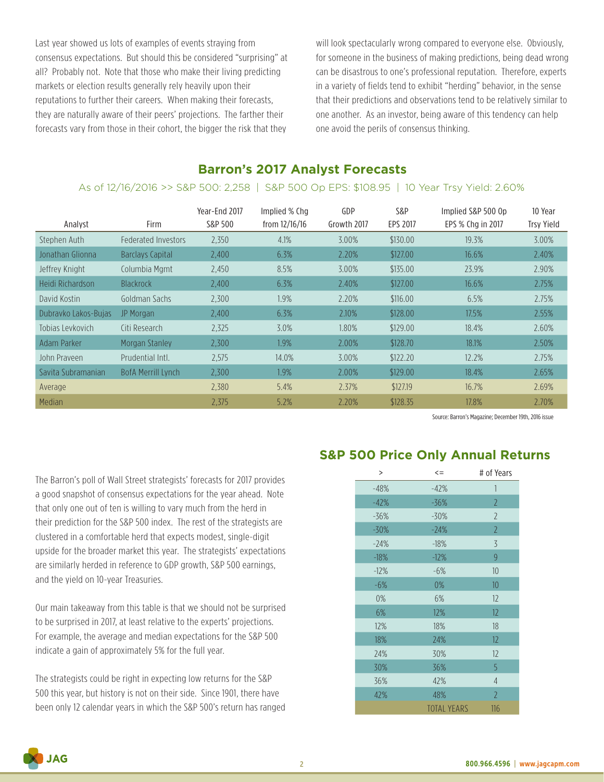Last year showed us lots of examples of events straying from consensus expectations. But should this be considered "surprising" at all? Probably not. Note that those who make their living predicting markets or election results generally rely heavily upon their reputations to further their careers. When making their forecasts, they are naturally aware of their peers' projections. The farther their forecasts vary from those in their cohort, the bigger the risk that they

will look spectacularly wrong compared to everyone else. Obviously, for someone in the business of making predictions, being dead wrong can be disastrous to one's professional reputation. Therefore, experts in a variety of fields tend to exhibit "herding" behavior, in the sense that their predictions and observations tend to be relatively similar to one another. As an investor, being aware of this tendency can help one avoid the perils of consensus thinking.

### **Barron's 2017 Analyst Forecasts**

#### As of 12/16/2016 >> S&P 500: 2,258 | S&P 500 Op EPS: \$108.95 | 10 Year Trsy Yield: 2.60%

| Analyst              | <b>Firm</b>                | Year-End 2017<br>S&P 500 | Implied % Chq<br>from 12/16/16 | GDP<br>Growth 2017 | S&P<br><b>EPS 2017</b> | Implied S&P 500 Op<br>EPS % Chg in 2017 | 10 Year<br><b>Trsy Yield</b> |
|----------------------|----------------------------|--------------------------|--------------------------------|--------------------|------------------------|-----------------------------------------|------------------------------|
| Stephen Auth         | <b>Federated Investors</b> | 2.350                    | 4.1%                           | 3.00%              | \$130.00               | 19.3%                                   | 3.00%                        |
| Jonathan Glionna     | Barclays Capital           | 2,400                    | 6.3%                           | 2.20%              | \$127.00               | 16.6%                                   | 2.40%                        |
| Jeffrey Knight       | Columbia Mgmt              | 2.450                    | 8.5%                           | 3.00%              | \$135.00               | 23.9%                                   | 2.90%                        |
| Heidi Richardson     | <b>Blackrock</b>           | 2.400                    | 6.3%                           | 2.40%              | \$127.00               | 16.6%                                   | 2.75%                        |
| David Kostin         | Goldman Sachs              | 2,300                    | 1.9%                           | 2.20%              | \$116.00               | 6.5%                                    | 2.75%                        |
| Dubravko Lakos-Bujas | JP Morgan                  | 2.400                    | 6.3%                           | 2.10%              | \$128.00               | 17.5%                                   | 2.55%                        |
| Tobias Leykovich     | Citi Research              | 2,325                    | 3.0%                           | 1.80%              | \$129.00               | 18.4%                                   | 2.60%                        |
| Adam Parker          | Morgan Stanley             | 2.300                    | 1.9%                           | 2.00%              | \$128.70               | 18.1%                                   | 2.50%                        |
| John Prayeen         | Prudential Intl.           | 2.575                    | 14.0%                          | 3.00%              | \$122.20               | 12.2%                                   | 2.75%                        |
| Savita Subramanian   | <b>BofA Merrill Lynch</b>  | 2,300                    | 1.9%                           | 2.00%              | \$129.00               | 18.4%                                   | 2.65%                        |
| Average              |                            | 2.380                    | 5.4%                           | 2.37%              | \$127.19               | 16.7%                                   | 2.69%                        |
| <b>Median</b>        |                            | 2.375                    | 5.2%                           | 2.20%              | \$128.35               | 17.8%                                   | 2.70%                        |

Source: Barron's Magazine; December 19th, 2016 issue

The Barron's poll of Wall Street strategists' forecasts for 2017 provides a good snapshot of consensus expectations for the year ahead. Note that only one out of ten is willing to vary much from the herd in their prediction for the S&P 500 index. The rest of the strategists are clustered in a comfortable herd that expects modest, single-digit upside for the broader market this year. The strategists' expectations are similarly herded in reference to GDP growth, S&P 500 earnings, and the yield on 10-year Treasuries.

Our main takeaway from this table is that we should not be surprised to be surprised in 2017, at least relative to the experts' projections. For example, the average and median expectations for the S&P 500 indicate a gain of approximately 5% for the full year.

The strategists could be right in expecting low returns for the S&P 500 this year, but history is not on their side. Since 1901, there have been only 12 calendar years in which the S&P 500's return has ranged

## **S&P 500 Price Only Annual Returns**

| $\,>\,$ | $\leq$             | # of Years     |
|---------|--------------------|----------------|
| $-48%$  | $-42%$             | 1              |
| $-42%$  | -36%               | $\overline{2}$ |
| $-36%$  | $-30%$             | $\overline{2}$ |
| $-30%$  | $-24%$             | $\overline{2}$ |
| $-24%$  | $-18%$             | 3              |
| $-18%$  | $-12%$             | 9              |
| $-12%$  | $-6%$              | 10             |
| $-6%$   | 0%                 | 10             |
| 0%      | 6%                 | 12             |
| 6%      | 12%                | 12             |
| 12%     | 18%                | 18             |
| 18%     | 24%                | 12             |
| 24%     | 30%                | 12             |
| 30%     | 36%                | 5              |
| 36%     | 42%                | $\overline{4}$ |
| 42%     | 48%                | $\overline{2}$ |
|         | <b>TOTAL YEARS</b> | 116            |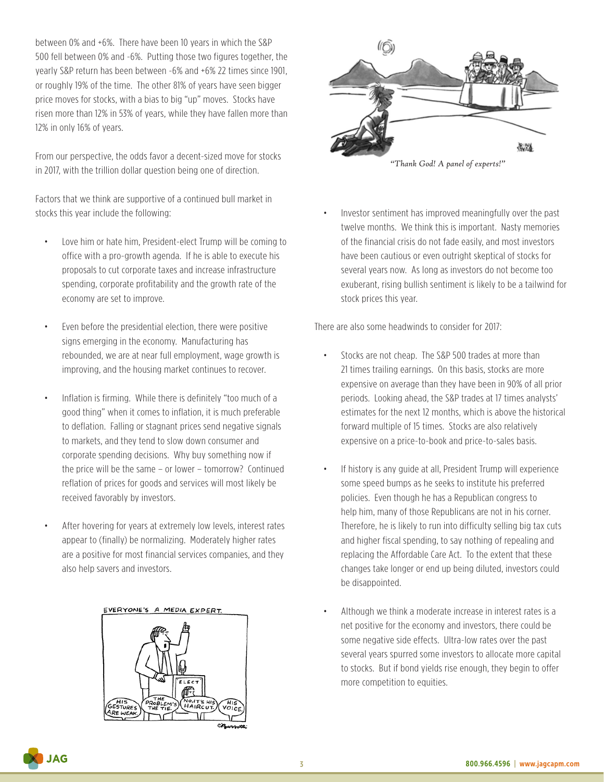between 0% and +6%. There have been 10 years in which the S&P 500 fell between 0% and -6%. Putting those two figures together, the yearly S&P return has been between -6% and +6% 22 times since 1901, or roughly 19% of the time. The other 81% of years have seen bigger price moves for stocks, with a bias to big "up" moves. Stocks have risen more than 12% in 53% of years, while they have fallen more than 12% in only 16% of years.

From our perspective, the odds favor a decent-sized move for stocks in 2017, with the trillion dollar question being one of direction.

Factors that we think are supportive of a continued bull market in stocks this year include the following:

- Love him or hate him, President-elect Trump will be coming to office with a pro-growth agenda. If he is able to execute his proposals to cut corporate taxes and increase infrastructure spending, corporate profitability and the growth rate of the economy are set to improve.
- Even before the presidential election, there were positive signs emerging in the economy. Manufacturing has rebounded, we are at near full employment, wage growth is improving, and the housing market continues to recover.
- Inflation is firming. While there is definitely "too much of a good thing" when it comes to inflation, it is much preferable to deflation. Falling or stagnant prices send negative signals to markets, and they tend to slow down consumer and corporate spending decisions. Why buy something now if the price will be the same – or lower – tomorrow? Continued reflation of prices for goods and services will most likely be received favorably by investors.
- After hovering for years at extremely low levels, interest rates appear to (finally) be normalizing. Moderately higher rates are a positive for most financial services companies, and they also help savers and investors.

#### EVERYONE'S A MEDIA EXPERT.





• Investor sentiment has improved meaningfully over the past twelve months. We think this is important. Nasty memories of the financial crisis do not fade easily, and most investors have been cautious or even outright skeptical of stocks for several years now. As long as investors do not become too exuberant, rising bullish sentiment is likely to be a tailwind for

There are also some headwinds to consider for 2017:

stock prices this year.

- Stocks are not cheap. The S&P 500 trades at more than 21 times trailing earnings. On this basis, stocks are more expensive on average than they have been in 90% of all prior periods. Looking ahead, the S&P trades at 17 times analysts' estimates for the next 12 months, which is above the historical forward multiple of 15 times. Stocks are also relatively expensive on a price-to-book and price-to-sales basis.
- If history is any guide at all, President Trump will experience some speed bumps as he seeks to institute his preferred policies. Even though he has a Republican congress to help him, many of those Republicans are not in his corner. Therefore, he is likely to run into difficulty selling big tax cuts and higher fiscal spending, to say nothing of repealing and replacing the Affordable Care Act. To the extent that these changes take longer or end up being diluted, investors could be disappointed.
- Although we think a moderate increase in interest rates is a net positive for the economy and investors, there could be some negative side effects. Ultra-low rates over the past several years spurred some investors to allocate more capital to stocks. But if bond yields rise enough, they begin to offer more competition to equities.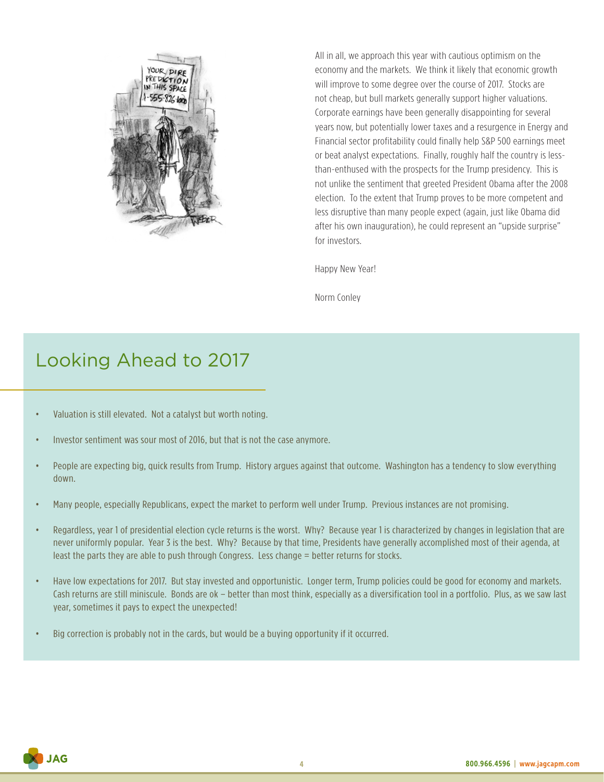

All in all, we approach this year with cautious optimism on the economy and the markets. We think it likely that economic growth will improve to some degree over the course of 2017. Stocks are not cheap, but bull markets generally support higher valuations. Corporate earnings have been generally disappointing for several years now, but potentially lower taxes and a resurgence in Energy and Financial sector profitability could finally help S&P 500 earnings meet or beat analyst expectations. Finally, roughly half the country is lessthan-enthused with the prospects for the Trump presidency. This is not unlike the sentiment that greeted President Obama after the 2008 election. To the extent that Trump proves to be more competent and less disruptive than many people expect (again, just like Obama did after his own inauguration), he could represent an "upside surprise" for investors.

Happy New Year!

Norm Conley

# Looking Ahead to 2017

- Valuation is still elevated. Not a catalyst but worth noting.
- Investor sentiment was sour most of 2016, but that is not the case anymore.
- People are expecting big, quick results from Trump. History argues against that outcome. Washington has a tendency to slow everything down.
- Many people, especially Republicans, expect the market to perform well under Trump. Previous instances are not promising.
- Regardless, year 1 of presidential election cycle returns is the worst. Why? Because year 1 is characterized by changes in legislation that are never uniformly popular. Year 3 is the best. Why? Because by that time, Presidents have generally accomplished most of their agenda, at least the parts they are able to push through Congress. Less change = better returns for stocks.
- Have low expectations for 2017. But stay invested and opportunistic. Longer term, Trump policies could be good for economy and markets. Cash returns are still miniscule. Bonds are ok – better than most think, especially as a diversification tool in a portfolio. Plus, as we saw last year, sometimes it pays to expect the unexpected!
- Big correction is probably not in the cards, but would be a buying opportunity if it occurred.